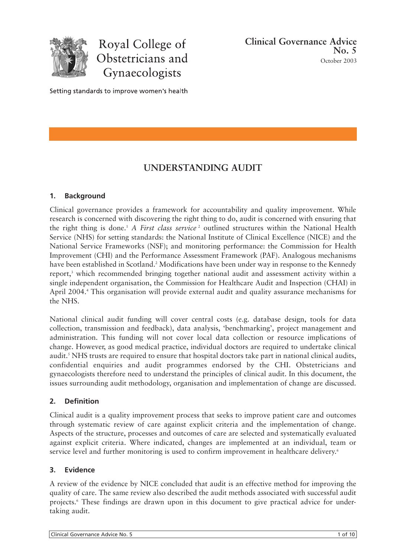

Royal College of Obstetricians and Gynaecologists

Setting standards to improve women's health

# **UNDERSTANDING AUDIT**

# **1. Background**

Clinical governance provides a framework for accountability and quality improvement. While research is concerned with discovering the right thing to do, audit is concerned with ensuring that the right thing is done.1 *A First class service* <sup>2</sup> outlined structures within the National Health Service (NHS) for setting standards: the National Institute of Clinical Excellence (NICE) and the National Service Frameworks (NSF); and monitoring performance: the Commission for Health Improvement (CHI) and the Performance Assessment Framework (PAF). Analogous mechanisms have been established in Scotland.<sup>2</sup> Modifications have been under way in response to the Kennedy report,<sup>3</sup> which recommended bringing together national audit and assessment activity within a single independent organisation, the Commission for Healthcare Audit and Inspection (CHAI) in April 2004.<sup>4</sup> This organisation will provide external audit and quality assurance mechanisms for the NHS.

National clinical audit funding will cover central costs (e.g. database design, tools for data collection, transmission and feedback), data analysis, 'benchmarking', project management and administration. This funding will not cover local data collection or resource implications of change. However, as good medical practice, individual doctors are required to undertake clinical audit.5 NHS trusts are required to ensure that hospital doctors take part in national clinical audits, confidential enquiries and audit programmes endorsed by the CHI. Obstetricians and gynaecologists therefore need to understand the principles of clinical audit. In this document, the issues surrounding audit methodology, organisation and implementation of change are discussed.

# **2. Definition**

Clinical audit is a quality improvement process that seeks to improve patient care and outcomes through systematic review of care against explicit criteria and the implementation of change. Aspects of the structure, processes and outcomes of care are selected and systematically evaluated against explicit criteria. Where indicated, changes are implemented at an individual, team or service level and further monitoring is used to confirm improvement in healthcare delivery.<sup>6</sup>

# **3. Evidence**

A review of the evidence by NICE concluded that audit is an effective method for improving the quality of care. The same review also described the audit methods associated with successful audit projects.<sup>6</sup> These findings are drawn upon in this document to give practical advice for undertaking audit.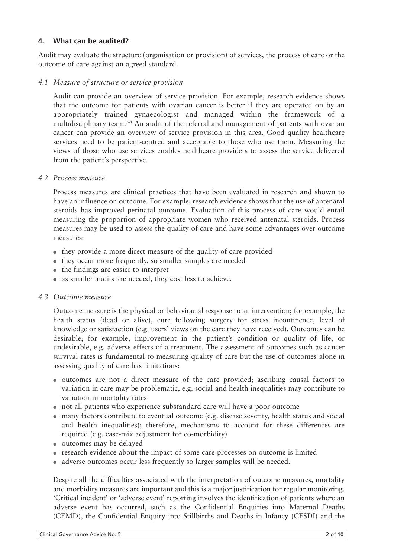#### **4. What can be audited?**

Audit may evaluate the structure (organisation or provision) of services, the process of care or the outcome of care against an agreed standard.

#### *4.1 Measure of structure or service provision*

Audit can provide an overview of service provision. For example, research evidence shows that the outcome for patients with ovarian cancer is better if they are operated on by an appropriately trained gynaecologist and managed within the framework of a multidisciplinary team.<sup>7-9</sup> An audit of the referral and management of patients with ovarian cancer can provide an overview of service provision in this area. Good quality healthcare services need to be patient-centred and acceptable to those who use them. Measuring the views of those who use services enables healthcare providers to assess the service delivered from the patient's perspective.

#### *4.2 Process measure*

Process measures are clinical practices that have been evaluated in research and shown to have an influence on outcome. For example, research evidence shows that the use of antenatal steroids has improved perinatal outcome. Evaluation of this process of care would entail measuring the proportion of appropriate women who received antenatal steroids. Process measures may be used to assess the quality of care and have some advantages over outcome measures:

- they provide a more direct measure of the quality of care provided
- they occur more frequently, so smaller samples are needed
- the findings are easier to interpret
- as smaller audits are needed, they cost less to achieve.

#### *4.3 Outcome measure*

Outcome measure is the physical or behavioural response to an intervention; for example, the health status (dead or alive), cure following surgery for stress incontinence, level of knowledge or satisfaction (e.g. users' views on the care they have received). Outcomes can be desirable; for example, improvement in the patient's condition or quality of life, or undesirable, e.g. adverse effects of a treatment. The assessment of outcomes such as cancer survival rates is fundamental to measuring quality of care but the use of outcomes alone in assessing quality of care has limitations:

- outcomes are not a direct measure of the care provided; ascribing causal factors to variation in care may be problematic, e.g. social and health inequalities may contribute to variation in mortality rates
- not all patients who experience substandard care will have a poor outcome
- many factors contribute to eventual outcome (e.g. disease severity, health status and social and health inequalities); therefore, mechanisms to account for these differences are required (e.g. case-mix adjustment for co-morbidity)
- outcomes may be delayed
- research evidence about the impact of some care processes on outcome is limited
- adverse outcomes occur less frequently so larger samples will be needed.

Despite all the difficulties associated with the interpretation of outcome measures, mortality and morbidity measures are important and this is a major justification for regular monitoring. 'Critical incident' or 'adverse event' reporting involves the identification of patients where an adverse event has occurred, such as the Confidential Enquiries into Maternal Deaths (CEMD), the Confidential Enquiry into Stillbirths and Deaths in Infancy (CESDI) and the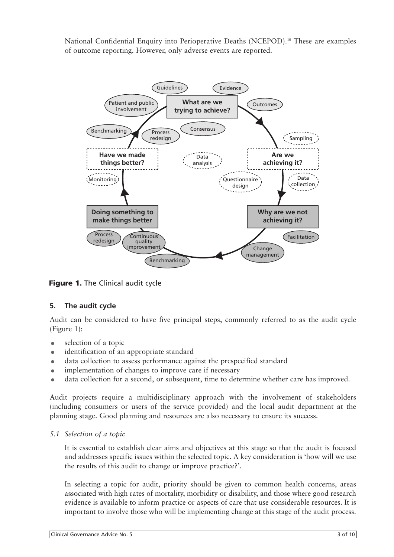National Confidential Enquiry into Perioperative Deaths (NCEPOD).<sup>10</sup> These are examples of outcome reporting. However, only adverse events are reported.



**Figure 1.** The Clinical audit cycle

# **5. The audit cycle**

Audit can be considered to have five principal steps, commonly referred to as the audit cycle (Figure 1):

- selection of a topic
- identification of an appropriate standard
- data collection to assess performance against the prespecified standard
- implementation of changes to improve care if necessary
- data collection for a second, or subsequent, time to determine whether care has improved.

Audit projects require a multidisciplinary approach with the involvement of stakeholders (including consumers or users of the service provided) and the local audit department at the planning stage. Good planning and resources are also necessary to ensure its success.

# *5.1 Selection of a topic*

It is essential to establish clear aims and objectives at this stage so that the audit is focused and addresses specific issues within the selected topic. A key consideration is 'how will we use the results of this audit to change or improve practice?'.

In selecting a topic for audit, priority should be given to common health concerns, areas associated with high rates of mortality, morbidity or disability, and those where good research evidence is available to inform practice or aspects of care that use considerable resources. It is important to involve those who will be implementing change at this stage of the audit process.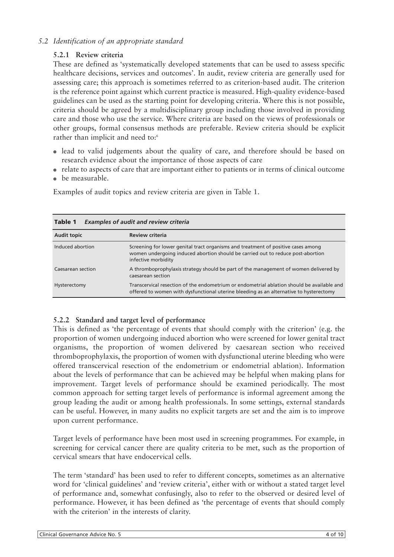# *5.2 Identification of an appropriate standard*

## **5.2.1 Review criteria**

These are defined as 'systematically developed statements that can be used to assess specific healthcare decisions, services and outcomes'. In audit, review criteria are generally used for assessing care; this approach is sometimes referred to as criterion-based audit. The criterion is the reference point against which current practice is measured. High-quality evidence-based guidelines can be used as the starting point for developing criteria. Where this is not possible, criteria should be agreed by a multidisciplinary group including those involved in providing care and those who use the service. Where criteria are based on the views of professionals or other groups, formal consensus methods are preferable. Review criteria should be explicit rather than implicit and need to:6

- lead to valid judgements about the quality of care, and therefore should be based on research evidence about the importance of those aspects of care
- relate to aspects of care that are important either to patients or in terms of clinical outcome
- $\bullet$  be measurable.

| Table 1<br><b>Examples of audit and review criteria</b> |                                                                                                                                                                                             |
|---------------------------------------------------------|---------------------------------------------------------------------------------------------------------------------------------------------------------------------------------------------|
| <b>Audit topic</b>                                      | <b>Review criteria</b>                                                                                                                                                                      |
| Induced abortion                                        | Screening for lower genital tract organisms and treatment of positive cases among<br>women undergoing induced abortion should be carried out to reduce post-abortion<br>infective morbidity |
| Caesarean section                                       | A thromboprophylaxis strategy should be part of the management of women delivered by<br>caesarean section                                                                                   |
| Hysterectomy                                            | Transcervical resection of the endometrium or endometrial ablation should be available and<br>offered to women with dysfunctional uterine bleeding as an alternative to hysterectomy        |

Examples of audit topics and review criteria are given in Table 1.

# **5.2.2 Standard and target level of performance**

This is defined as 'the percentage of events that should comply with the criterion' (e.g. the proportion of women undergoing induced abortion who were screened for lower genital tract organisms, the proportion of women delivered by caesarean section who received thromboprophylaxis, the proportion of women with dysfunctional uterine bleeding who were offered transcervical resection of the endometrium or endometrial ablation). Information about the levels of performance that can be achieved may be helpful when making plans for improvement. Target levels of performance should be examined periodically. The most common approach for setting target levels of performance is informal agreement among the group leading the audit or among health professionals. In some settings, external standards can be useful. However, in many audits no explicit targets are set and the aim is to improve upon current performance.

Target levels of performance have been most used in screening programmes. For example, in screening for cervical cancer there are quality criteria to be met, such as the proportion of cervical smears that have endocervical cells.

The term 'standard' has been used to refer to different concepts, sometimes as an alternative word for 'clinical guidelines' and 'review criteria', either with or without a stated target level of performance and, somewhat confusingly, also to refer to the observed or desired level of performance. However, it has been defined as 'the percentage of events that should comply with the criterion' in the interests of clarity.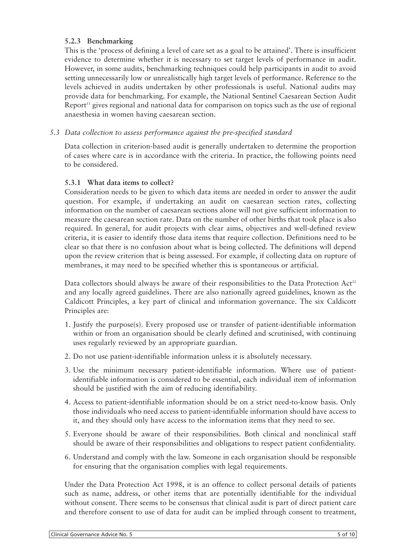## **5.2.3 Benchmarking**

This is the 'process of defining a level of care set as a goal to be attained'. There is insufficient evidence to determine whether it is necessary to set target levels of performance in audit. However, in some audits, benchmarking techniques could help participants in audit to avoid setting unnecessarily low or unrealistically high target levels of performance. Reference to the levels achieved in audits undertaken by other professionals is useful. National audits may provide data for benchmarking. For example, the National Sentinel Caesarean Section Audit Report<sup>11</sup> gives regional and national data for comparison on topics such as the use of regional anaesthesia in women having caesarean section.

# *5.3 Data collection to assess performance against the pre-specified standard*

Data collection in criterion-based audit is generally undertaken to determine the proportion of cases where care is in accordance with the criteria. In practice, the following points need to be considered.

## **5.3.1 What data items to collect?**

Consideration needs to be given to which data items are needed in order to answer the audit question. For example, if undertaking an audit on caesarean section rates, collecting information on the number of caesarean sections alone will not give sufficient information to measure the caesarean section rate. Data on the number of other births that took place is also required. In general, for audit projects with clear aims, objectives and well-defined review criteria, it is easier to identify those data items that require collection. Definitions need to be clear so that there is no confusion about what is being collected. The definitions will depend upon the review criterion that is being assessed. For example, if collecting data on rupture of membranes, it may need to be specified whether this is spontaneous or artificial.

Data collectors should always be aware of their responsibilities to the Data Protection  $Act^{12}$ and any locally agreed guidelines. There are also nationally agreed guidelines, known as the Caldicott Principles, a key part of clinical and information governance. The six Caldicott Principles are:

- 1. Justify the purpose(s). Every proposed use or transfer of patient-identifiable information within or from an organisation should be clearly defined and scrutinised, with continuing uses regularly reviewed by an appropriate guardian.
- 2. Do not use patient-identifiable information unless it is absolutely necessary.
- 3. Use the minimum necessary patient-identifiable information. Where use of patientidentifiable information is considered to be essential, each individual item of information should be justified with the aim of reducing identifiability.
- 4. Access to patient-identifiable information should be on a strict need-to-know basis. Only those individuals who need access to patient-identifiable information should have access to it, and they should only have access to the information items that they need to see.
- 5. Everyone should be aware of their responsibilities. Both clinical and nonclinical staff should be aware of their responsibilities and obligations to respect patient confidentiality.
- 6. Understand and comply with the law. Someone in each organisation should be responsible for ensuring that the organisation complies with legal requirements.

Under the Data Protection Act 1998, it is an offence to collect personal details of patients such as name, address, or other items that are potentially identifiable for the individual without consent. There seems to be consensus that clinical audit is part of direct patient care and therefore consent to use of data for audit can be implied through consent to treatment,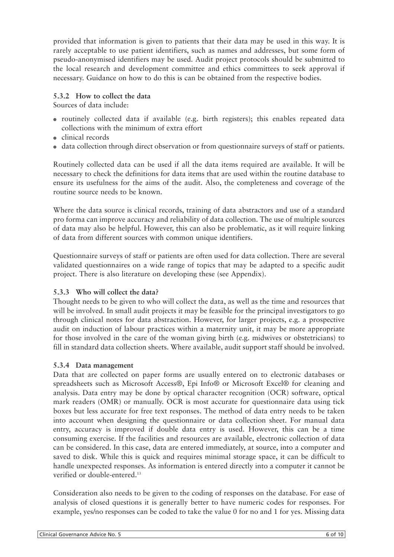provided that information is given to patients that their data may be used in this way. It is rarely acceptable to use patient identifiers, such as names and addresses, but some form of pseudo-anonymised identifiers may be used. Audit project protocols should be submitted to the local research and development committee and ethics committees to seek approval if necessary. Guidance on how to do this is can be obtained from the respective bodies.

# **5.3.2 How to collect the data**

Sources of data include:

- routinely collected data if available (e.g. birth registers); this enables repeated data collections with the minimum of extra effort
- clinical records
- data collection through direct observation or from questionnaire surveys of staff or patients.

Routinely collected data can be used if all the data items required are available. It will be necessary to check the definitions for data items that are used within the routine database to ensure its usefulness for the aims of the audit. Also, the completeness and coverage of the routine source needs to be known.

Where the data source is clinical records, training of data abstractors and use of a standard pro forma can improve accuracy and reliability of data collection. The use of multiple sources of data may also be helpful. However, this can also be problematic, as it will require linking of data from different sources with common unique identifiers.

Questionnaire surveys of staff or patients are often used for data collection. There are several validated questionnaires on a wide range of topics that may be adapted to a specific audit project. There is also literature on developing these (see Appendix).

# **5.3.3 Who will collect the data?**

Thought needs to be given to who will collect the data, as well as the time and resources that will be involved. In small audit projects it may be feasible for the principal investigators to go through clinical notes for data abstraction. However, for larger projects, e.g. a prospective audit on induction of labour practices within a maternity unit, it may be more appropriate for those involved in the care of the woman giving birth (e.g. midwives or obstetricians) to fill in standard data collection sheets. Where available, audit support staff should be involved.

# **5.3.4 Data management**

Data that are collected on paper forms are usually entered on to electronic databases or spreadsheets such as Microsoft Access®, Epi Info® or Microsoft Excel® for cleaning and analysis. Data entry may be done by optical character recognition (OCR) software, optical mark readers (OMR) or manually. OCR is most accurate for questionnaire data using tick boxes but less accurate for free text responses. The method of data entry needs to be taken into account when designing the questionnaire or data collection sheet. For manual data entry, accuracy is improved if double data entry is used. However, this can be a time consuming exercise. If the facilities and resources are available, electronic collection of data can be considered. In this case, data are entered immediately, at source, into a computer and saved to disk. While this is quick and requires minimal storage space, it can be difficult to handle unexpected responses. As information is entered directly into a computer it cannot be verified or double-entered.13

Consideration also needs to be given to the coding of responses on the database. For ease of analysis of closed questions it is generally better to have numeric codes for responses. For example, yes/no responses can be coded to take the value 0 for no and 1 for yes. Missing data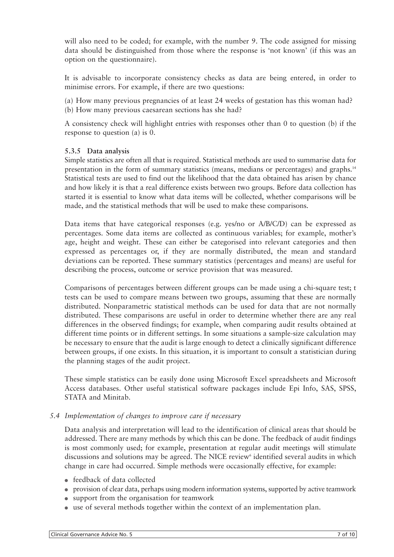will also need to be coded; for example, with the number 9. The code assigned for missing data should be distinguished from those where the response is 'not known' (if this was an option on the questionnaire).

It is advisable to incorporate consistency checks as data are being entered, in order to minimise errors. For example, if there are two questions:

(a) How many previous pregnancies of at least 24 weeks of gestation has this woman had? (b) How many previous caesarean sections has she had?

A consistency check will highlight entries with responses other than 0 to question (b) if the response to question (a) is 0.

## **5.3.5 Data analysis**

Simple statistics are often all that is required. Statistical methods are used to summarise data for presentation in the form of summary statistics (means, medians or percentages) and graphs.<sup>14</sup> Statistical tests are used to find out the likelihood that the data obtained has arisen by chance and how likely it is that a real difference exists between two groups. Before data collection has started it is essential to know what data items will be collected, whether comparisons will be made, and the statistical methods that will be used to make these comparisons.

Data items that have categorical responses (e.g. yes/no or A/B/C/D) can be expressed as percentages. Some data items are collected as continuous variables; for example, mother's age, height and weight. These can either be categorised into relevant categories and then expressed as percentages or, if they are normally distributed, the mean and standard deviations can be reported. These summary statistics (percentages and means) are useful for describing the process, outcome or service provision that was measured.

Comparisons of percentages between different groups can be made using a chi-square test; t tests can be used to compare means between two groups, assuming that these are normally distributed. Nonparametric statistical methods can be used for data that are not normally distributed. These comparisons are useful in order to determine whether there are any real differences in the observed findings; for example, when comparing audit results obtained at different time points or in different settings. In some situations a sample-size calculation may be necessary to ensure that the audit is large enough to detect a clinically significant difference between groups, if one exists. In this situation, it is important to consult a statistician during the planning stages of the audit project.

These simple statistics can be easily done using Microsoft Excel spreadsheets and Microsoft Access databases. Other useful statistical software packages include Epi Info, SAS, SPSS, STATA and Minitab.

#### *5.4 Implementation of changes to improve care if necessary*

Data analysis and interpretation will lead to the identification of clinical areas that should be addressed. There are many methods by which this can be done. The feedback of audit findings is most commonly used; for example, presentation at regular audit meetings will stimulate discussions and solutions may be agreed. The NICE review<sup>6</sup> identified several audits in which change in care had occurred. Simple methods were occasionally effective, for example:

- feedback of data collected
- provision of clear data, perhaps using modern information systems, supported by active teamwork
- support from the organisation for teamwork
- use of several methods together within the context of an implementation plan.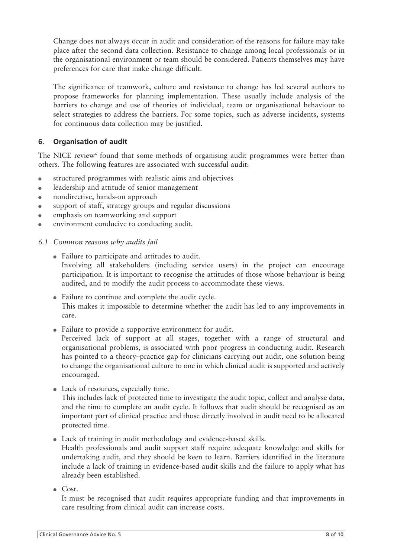Change does not always occur in audit and consideration of the reasons for failure may take place after the second data collection. Resistance to change among local professionals or in the organisational environment or team should be considered. Patients themselves may have preferences for care that make change difficult.

The significance of teamwork, culture and resistance to change has led several authors to propose frameworks for planning implementation. These usually include analysis of the barriers to change and use of theories of individual, team or organisational behaviour to select strategies to address the barriers. For some topics, such as adverse incidents, systems for continuous data collection may be justified.

# **6. Organisation of audit**

The NICE review<sup>6</sup> found that some methods of organising audit programmes were better than others. The following features are associated with successful audit:

- structured programmes with realistic aims and objectives
- leadership and attitude of senior management
- nondirective, hands-on approach
- support of staff, strategy groups and regular discussions
- emphasis on teamworking and support
- environment conducive to conducting audit.
- *6.1 Common reasons why audits fail*
	- Failure to participate and attitudes to audit. Involving all stakeholders (including service users) in the project can encourage participation. It is important to recognise the attitudes of those whose behaviour is being audited, and to modify the audit process to accommodate these views.
	- Failure to continue and complete the audit cycle. This makes it impossible to determine whether the audit has led to any improvements in care.
	- Failure to provide a supportive environment for audit.

Perceived lack of support at all stages, together with a range of structural and organisational problems, is associated with poor progress in conducting audit. Research has pointed to a theory–practice gap for clinicians carrying out audit, one solution being to change the organisational culture to one in which clinical audit is supported and actively encouraged.

• Lack of resources, especially time.

This includes lack of protected time to investigate the audit topic, collect and analyse data, and the time to complete an audit cycle. It follows that audit should be recognised as an important part of clinical practice and those directly involved in audit need to be allocated protected time.

● Lack of training in audit methodology and evidence-based skills.

Health professionals and audit support staff require adequate knowledge and skills for undertaking audit, and they should be keen to learn. Barriers identified in the literature include a lack of training in evidence-based audit skills and the failure to apply what has already been established.

● Cost.

It must be recognised that audit requires appropriate funding and that improvements in care resulting from clinical audit can increase costs.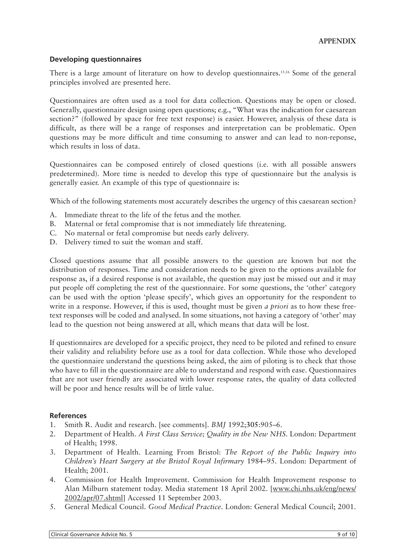## **Developing questionnaires**

There is a large amount of literature on how to develop questionnaires.<sup>15,16</sup> Some of the general principles involved are presented here.

Questionnaires are often used as a tool for data collection. Questions may be open or closed. Generally, questionnaire design using open questions; e.g., "What was the indication for caesarean section?" (followed by space for free text response) is easier. However, analysis of these data is difficult, as there will be a range of responses and interpretation can be problematic. Open questions may be more difficult and time consuming to answer and can lead to non-reponse, which results in loss of data.

Questionnaires can be composed entirely of closed questions (i.e. with all possible answers predetermined). More time is needed to develop this type of questionnaire but the analysis is generally easier. An example of this type of questionnaire is:

Which of the following statements most accurately describes the urgency of this caesarean section?

- A. Immediate threat to the life of the fetus and the mother.
- B. Maternal or fetal compromise that is not immediately life threatening.
- C. No maternal or fetal compromise but needs early delivery.
- D. Delivery timed to suit the woman and staff.

Closed questions assume that all possible answers to the question are known but not the distribution of responses. Time and consideration needs to be given to the options available for response as, if a desired response is not available, the question may just be missed out and it may put people off completing the rest of the questionnaire. For some questions, the 'other' category can be used with the option 'please specify', which gives an opportunity for the respondent to write in a response. However, if this is used, thought must be given *a priori* as to how these freetext responses will be coded and analysed. In some situations, not having a category of 'other' may lead to the question not being answered at all, which means that data will be lost.

If questionnaires are developed for a specific project, they need to be piloted and refined to ensure their validity and reliability before use as a tool for data collection. While those who developed the questionnaire understand the questions being asked, the aim of piloting is to check that those who have to fill in the questionnaire are able to understand and respond with ease. Questionnaires that are not user friendly are associated with lower response rates, the quality of data collected will be poor and hence results will be of little value.

#### **References**

- 1. Smith R. Audit and research. [see comments]. *BMJ* 1992;**305**:905–6.
- 2. Department of Health. *A First Class Service; Quality in the New NHS*. London: Department of Health; 1998.
- 3. Department of Health. Learning From Bristol: *The Report of the Public Inquiry into Children's Heart Surgery at the Bristol Royal Infirmary* 1984–95. London: Department of Health; 2001.
- 4. Commission for Health Improvement. Commission for Health Improvement response to Alan Milburn statement today. Media statement 18 April 2002. [www.chi.nhs.uk/eng/news/ 2002/apr/07.shtml] Accessed 11 September 2003.
- 5. General Medical Council. *Good Medical Practice*. London: General Medical Council; 2001.